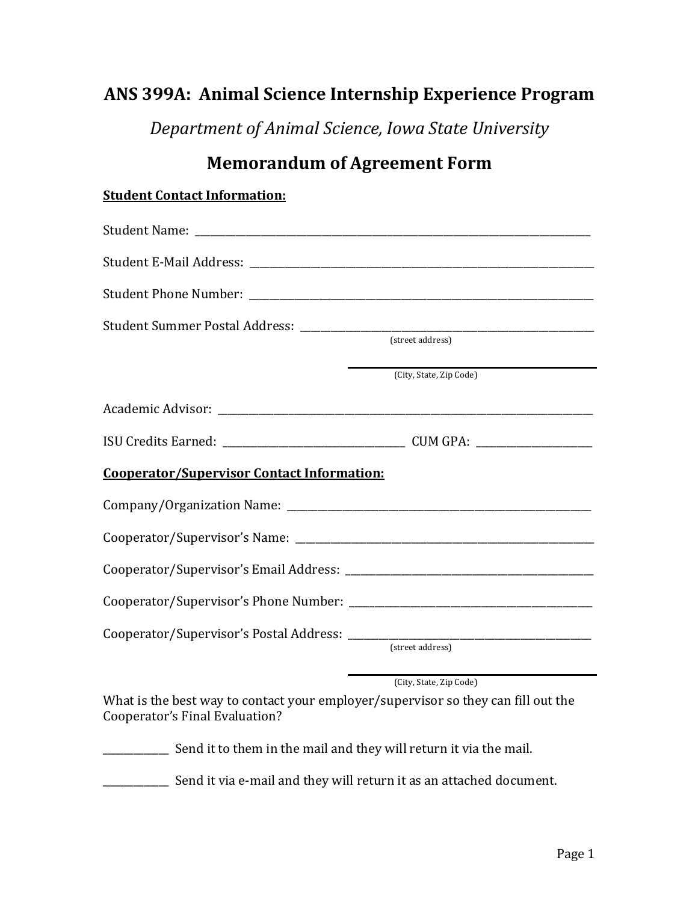# **ANS 399A: Animal Science Internship Experience Program**

*Department of Animal Science, Iowa State University*

# **Memorandum of Agreement Form**

### **Student Contact Information:**

|                                                                                                                     | (street address)        |
|---------------------------------------------------------------------------------------------------------------------|-------------------------|
|                                                                                                                     | (City, State, Zip Code) |
|                                                                                                                     |                         |
|                                                                                                                     |                         |
| <b>Cooperator/Supervisor Contact Information:</b>                                                                   |                         |
|                                                                                                                     |                         |
|                                                                                                                     |                         |
|                                                                                                                     |                         |
|                                                                                                                     |                         |
|                                                                                                                     | (street address)        |
| What is the best way to contact your employer/supervisor so they can fill out the<br>Cooperator's Final Evaluation? | (City, State, Zip Code) |

\_\_\_\_\_\_\_\_\_\_\_\_\_ Send it to them in the mail and they will return it via the mail.

**EXECTED** Send it via e-mail and they will return it as an attached document.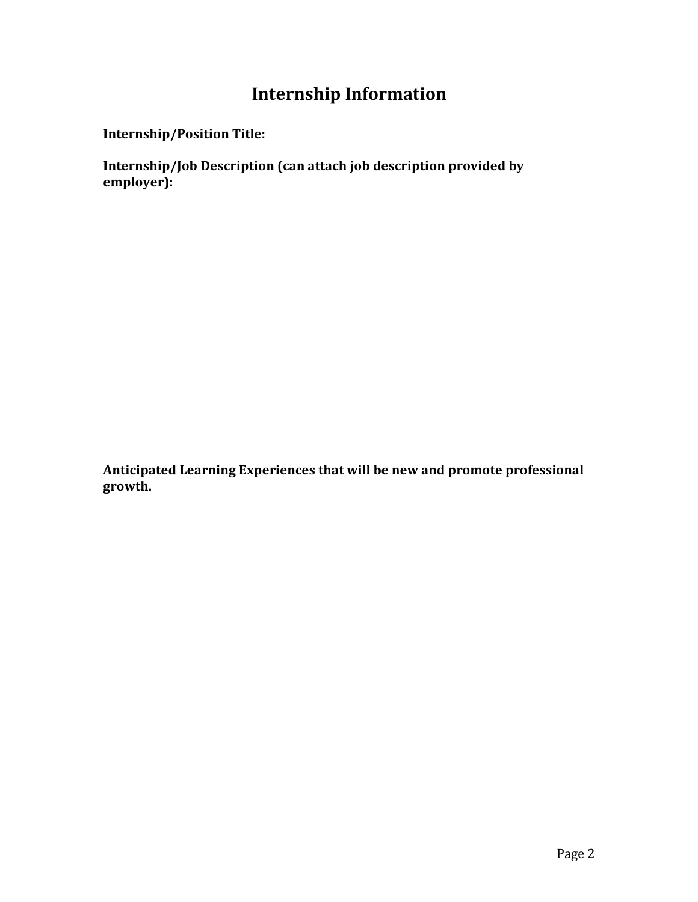# **Internship Information**

**Internship/Position Title:** 

**Internship/Job Description (can attach job description provided by employer):** 

Anticipated Learning Experiences that will be new and promote professional growth.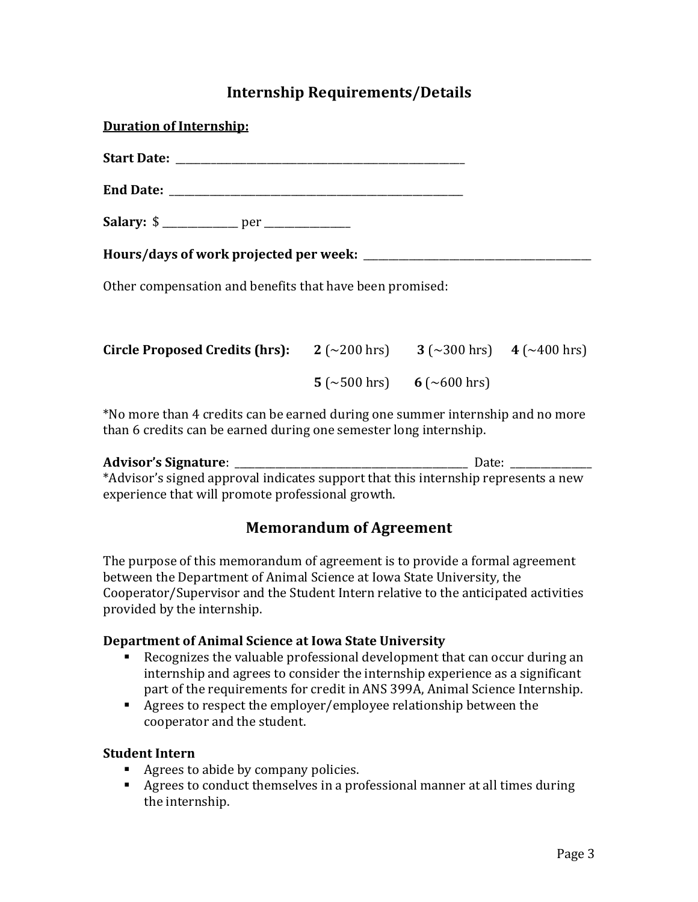## **Internship Requirements/Details**

| <b>Duration of Internship:</b>                                                                             |                           |  |
|------------------------------------------------------------------------------------------------------------|---------------------------|--|
|                                                                                                            |                           |  |
|                                                                                                            |                           |  |
|                                                                                                            |                           |  |
|                                                                                                            |                           |  |
| Other compensation and benefits that have been promised:                                                   |                           |  |
|                                                                                                            |                           |  |
| <b>Circle Proposed Credits (hrs):</b> $2 (-200 \text{ hrs})$ $3 (-300 \text{ hrs})$ $4 (-400 \text{ hrs})$ |                           |  |
|                                                                                                            | 5 (~500 hrs) 6 (~600 hrs) |  |
| *No more than 4 credits can be earned during one summer internship and no more                             |                           |  |

**Advisor's Signature**: \_\_\_\_\_\_\_\_\_\_\_\_\_\_\_\_\_\_\_\_\_\_\_\_\_\_\_\_\_\_\_\_\_\_\_\_\_\_\_\_\_\_\_\_\_\_ Date: \_\_\_\_\_\_\_\_\_\_\_\_\_\_\_\_ \*Advisor's signed approval indicates support that this internship represents a new experience that will promote professional growth.

than 6 credits can be earned during one semester long internship.

## **Memorandum of Agreement**

The purpose of this memorandum of agreement is to provide a formal agreement between the Department of Animal Science at Iowa State University, the Cooperator/Supervisor and the Student Intern relative to the anticipated activities provided by the internship.

#### **Department of Animal Science at Iowa State University**

- Recognizes the valuable professional development that can occur during an internship and agrees to consider the internship experience as a significant part of the requirements for credit in ANS 399A, Animal Science Internship.
- Agrees to respect the employer/employee relationship between the cooperator and the student.

#### **Student Intern**

- Agrees to abide by company policies.
- Agrees to conduct themselves in a professional manner at all times during the internship.